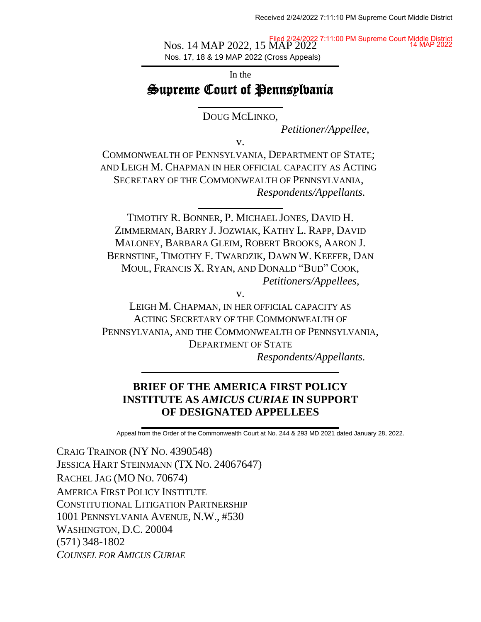Nos. 14 MAP 2022, 15 MAP 2022 Nos. 17, 18 & 19 MAP 2022 (Cross Appeals) Filed 2/24/2022 7:11:00 PM Supreme Court Middle District 14 MAP 2022

# In the Supreme Court of Pennsylvania

DOUG MCLINKO,

*Petitioner/Appellee,*

v.

COMMONWEALTH OF PENNSYLVANIA, DEPARTMENT OF STATE; AND LEIGH M. CHAPMAN IN HER OFFICIAL CAPACITY AS ACTING SECRETARY OF THE COMMONWEALTH OF PENNSYLVANIA, *Respondents/Appellants.*

TIMOTHY R. BONNER, P. MICHAEL JONES, DAVID H. ZIMMERMAN, BARRY J.JOZWIAK, KATHY L. RAPP, DAVID MALONEY, BARBARA GLEIM, ROBERT BROOKS, AARON J. BERNSTINE, TIMOTHY F. TWARDZIK, DAWN W. KEEFER, DAN MOUL, FRANCIS X. RYAN, AND DONALD "BUD" COOK, *Petitioners/Appellees,*

v.

LEIGH M. CHAPMAN, IN HER OFFICIAL CAPACITY AS ACTING SECRETARY OF THE COMMONWEALTH OF PENNSYLVANIA, AND THE COMMONWEALTH OF PENNSYLVANIA, DEPARTMENT OF STATE

*Respondents/Appellants.*

## **BRIEF OF THE AMERICA FIRST POLICY INSTITUTE AS** *AMICUS CURIAE* **IN SUPPORT OF DESIGNATED APPELLEES**

Appeal from the Order of the Commonwealth Court at No. 244 & 293 MD 2021 dated January 28, 2022.

CRAIG TRAINOR (NY NO. 4390548) JESSICA HART STEINMANN (TX NO. 24067647) RACHEL JAG (MO NO. 70674) AMERICA FIRST POLICY INSTITUTE CONSTITUTIONAL LITIGATION PARTNERSHIP 1001 PENNSYLVANIA AVENUE, N.W., #530 WASHINGTON, D.C. 20004 (571) 348-1802 *COUNSEL FOR AMICUS CURIAE*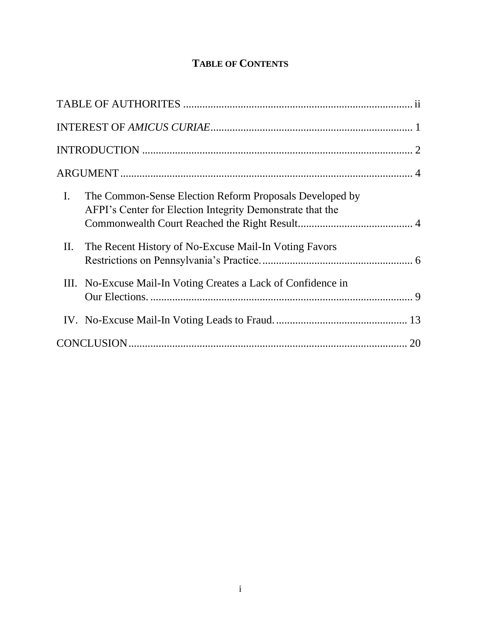# **TABLE OF CONTENTS**

| $\mathbf{I}$ . | The Common-Sense Election Reform Proposals Developed by<br>AFPI's Center for Election Integrity Demonstrate that the |  |
|----------------|----------------------------------------------------------------------------------------------------------------------|--|
| П.             | The Recent History of No-Excuse Mail-In Voting Favors                                                                |  |
|                | III. No-Excuse Mail-In Voting Creates a Lack of Confidence in                                                        |  |
|                |                                                                                                                      |  |
|                |                                                                                                                      |  |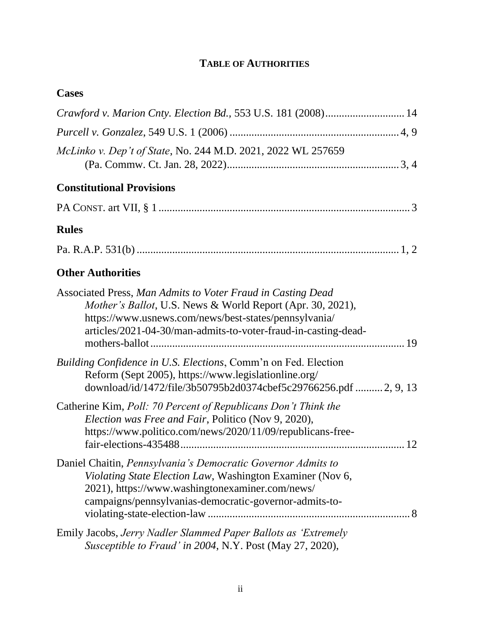# **TABLE OF AUTHORITIES**

## **Cases**

| Crawford v. Marion Cnty. Election Bd., 553 U.S. 181 (2008) 14                                                                                                                                                                                                |
|--------------------------------------------------------------------------------------------------------------------------------------------------------------------------------------------------------------------------------------------------------------|
|                                                                                                                                                                                                                                                              |
| McLinko v. Dep't of State, No. 244 M.D. 2021, 2022 WL 257659                                                                                                                                                                                                 |
| <b>Constitutional Provisions</b>                                                                                                                                                                                                                             |
|                                                                                                                                                                                                                                                              |
| <b>Rules</b>                                                                                                                                                                                                                                                 |
|                                                                                                                                                                                                                                                              |
| <b>Other Authorities</b>                                                                                                                                                                                                                                     |
| Associated Press, Man Admits to Voter Fraud in Casting Dead<br><i>Mother's Ballot</i> , U.S. News & World Report (Apr. 30, 2021),<br>https://www.usnews.com/news/best-states/pennsylvania/<br>articles/2021-04-30/man-admits-to-voter-fraud-in-casting-dead- |
| Building Confidence in U.S. Elections, Comm'n on Fed. Election<br>Reform (Sept 2005), https://www.legislationline.org/<br>download/id/1472/file/3b50795b2d0374cbef5c29766256.pdf 2, 9, 13                                                                    |
| Catherine Kim, Poll: 70 Percent of Republicans Don't Think the<br>Election was Free and Fair, Politico (Nov 9, 2020),<br>https://www.politico.com/news/2020/11/09/republicans-free-                                                                          |
| Daniel Chaitin, Pennsylvania's Democratic Governor Admits to<br>Violating State Election Law, Washington Examiner (Nov 6,<br>2021), https://www.washingtonexaminer.com/news/<br>campaigns/pennsylvanias-democratic-governor-admits-to-                       |
| Emily Jacobs, Jerry Nadler Slammed Paper Ballots as 'Extremely<br>Susceptible to Fraud' in 2004, N.Y. Post (May 27, 2020),                                                                                                                                   |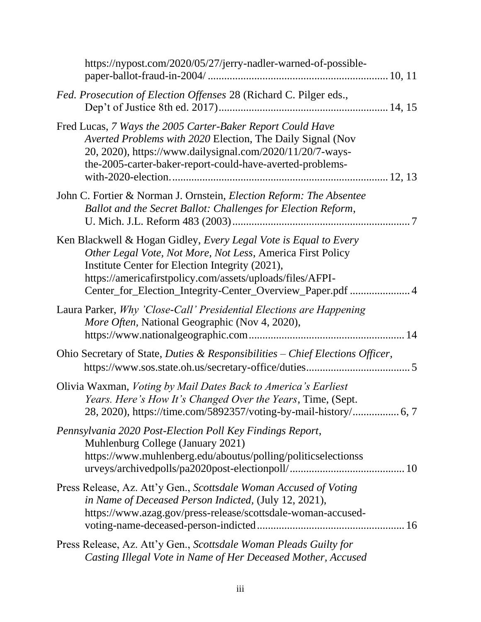| https://nypost.com/2020/05/27/jerry-nadler-warned-of-possible-                                                                                                                                                                                                                                               |
|--------------------------------------------------------------------------------------------------------------------------------------------------------------------------------------------------------------------------------------------------------------------------------------------------------------|
| Fed. Prosecution of Election Offenses 28 (Richard C. Pilger eds.,                                                                                                                                                                                                                                            |
| Fred Lucas, 7 Ways the 2005 Carter-Baker Report Could Have<br>Averted Problems with 2020 Election, The Daily Signal (Nov<br>20, 2020), https://www.dailysignal.com/2020/11/20/7-ways-<br>the-2005-carter-baker-report-could-have-averted-problems-                                                           |
| John C. Fortier & Norman J. Ornstein, <i>Election Reform: The Absentee</i><br>Ballot and the Secret Ballot: Challenges for Election Reform,                                                                                                                                                                  |
| Ken Blackwell & Hogan Gidley, Every Legal Vote is Equal to Every<br>Other Legal Vote, Not More, Not Less, America First Policy<br>Institute Center for Election Integrity (2021),<br>https://americafirstpolicy.com/assets/uploads/files/AFPI-<br>Center_for_Election_Integrity-Center_Overview_Paper.pdf  4 |
| Laura Parker, Why 'Close-Call' Presidential Elections are Happening<br>More Often, National Geographic (Nov 4, 2020),                                                                                                                                                                                        |
| Ohio Secretary of State, Duties & Responsibilities – Chief Elections Officer,                                                                                                                                                                                                                                |
| Olivia Waxman, Voting by Mail Dates Back to America's Earliest<br>Years. Here's How It's Changed Over the Years, Time, (Sept.                                                                                                                                                                                |
| Pennsylvania 2020 Post-Election Poll Key Findings Report,<br>Muhlenburg College (January 2021)<br>https://www.muhlenberg.edu/aboutus/polling/politicselectionss                                                                                                                                              |
| Press Release, Az. Att'y Gen., Scottsdale Woman Accused of Voting<br>in Name of Deceased Person Indicted, (July 12, 2021),<br>https://www.azag.gov/press-release/scottsdale-woman-accused-                                                                                                                   |
| Press Release, Az. Att'y Gen., Scottsdale Woman Pleads Guilty for<br>Casting Illegal Vote in Name of Her Deceased Mother, Accused                                                                                                                                                                            |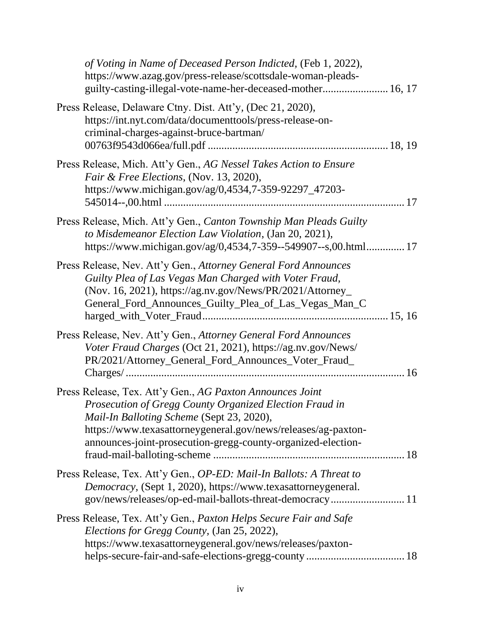| of Voting in Name of Deceased Person Indicted, (Feb 1, 2022),<br>https://www.azag.gov/press-release/scottsdale-woman-pleads-<br>guilty-casting-illegal-vote-name-her-deceased-mother 16, 17                                                                                                        |  |
|----------------------------------------------------------------------------------------------------------------------------------------------------------------------------------------------------------------------------------------------------------------------------------------------------|--|
| Press Release, Delaware Ctny. Dist. Att'y, (Dec 21, 2020),<br>https://int.nyt.com/data/documenttools/press-release-on-<br>criminal-charges-against-bruce-bartman/                                                                                                                                  |  |
| Press Release, Mich. Att'y Gen., AG Nessel Takes Action to Ensure<br>Fair & Free Elections, (Nov. 13, 2020),<br>https://www.michigan.gov/ag/0,4534,7-359-92297_47203-                                                                                                                              |  |
| Press Release, Mich. Att'y Gen., Canton Township Man Pleads Guilty<br>to Misdemeanor Election Law Violation, (Jan 20, 2021),<br>https://www.michigan.gov/ag/0,4534,7-359--549907--s,00.html 17                                                                                                     |  |
| Press Release, Nev. Att'y Gen., Attorney General Ford Announces<br>Guilty Plea of Las Vegas Man Charged with Voter Fraud,<br>(Nov. 16, 2021), https://ag.nv.gov/News/PR/2021/Attorney_<br>General_Ford_Announces_Guilty_Plea_of_Las_Vegas_Man_C                                                    |  |
| Press Release, Nev. Att'y Gen., Attorney General Ford Announces<br>Voter Fraud Charges (Oct 21, 2021), https://ag.nv.gov/News/<br>PR/2021/Attorney_General_Ford_Announces_Voter_Fraud_                                                                                                             |  |
| Press Release, Tex. Att'y Gen., AG Paxton Announces Joint<br>Prosecution of Gregg County Organized Election Fraud in<br>Mail-In Balloting Scheme (Sept 23, 2020),<br>https://www.texasattorneygeneral.gov/news/releases/ag-paxton-<br>announces-joint-prosecution-gregg-county-organized-election- |  |
| Press Release, Tex. Att'y Gen., OP-ED: Mail-In Ballots: A Threat to<br>Democracy, (Sept 1, 2020), https://www.texasattorneygeneral.<br>gov/news/releases/op-ed-mail-ballots-threat-democracy 11                                                                                                    |  |
| Press Release, Tex. Att'y Gen., Paxton Helps Secure Fair and Safe<br>Elections for Gregg County, (Jan 25, 2022),<br>https://www.texasattorneygeneral.gov/news/releases/paxton-                                                                                                                     |  |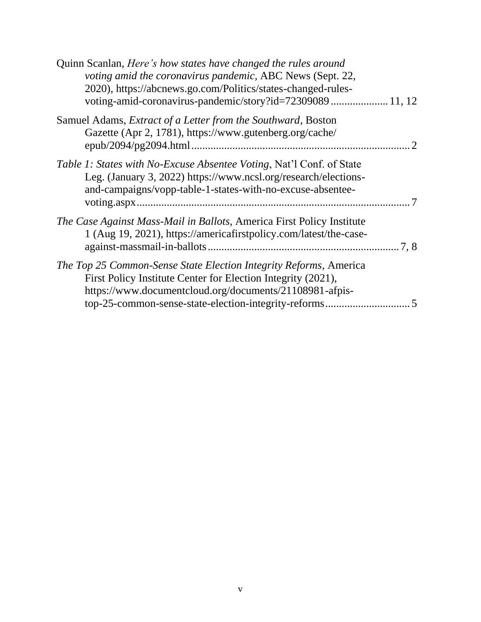| Quinn Scanlan, Here's how states have changed the rules around<br>voting amid the coronavirus pandemic, ABC News (Sept. 22,<br>2020), https://abcnews.go.com/Politics/states-changed-rules-<br>voting-amid-coronavirus-pandemic/story?id=72309089 11, 12 |  |
|----------------------------------------------------------------------------------------------------------------------------------------------------------------------------------------------------------------------------------------------------------|--|
| Samuel Adams, Extract of a Letter from the Southward, Boston<br>Gazette (Apr 2, 1781), https://www.gutenberg.org/cache/                                                                                                                                  |  |
| <i>Table 1: States with No-Excuse Absentee Voting, Nat'l Conf. of State</i><br>Leg. (January 3, 2022) https://www.ncsl.org/research/elections-<br>and-campaigns/vopp-table-1-states-with-no-excuse-absentee-                                             |  |
| The Case Against Mass-Mail in Ballots, America First Policy Institute<br>1 (Aug 19, 2021), https://americafirstpolicy.com/latest/the-case-                                                                                                               |  |
| The Top 25 Common-Sense State Election Integrity Reforms, America<br>First Policy Institute Center for Election Integrity (2021),<br>https://www.documentcloud.org/documents/21108981-afpis-                                                             |  |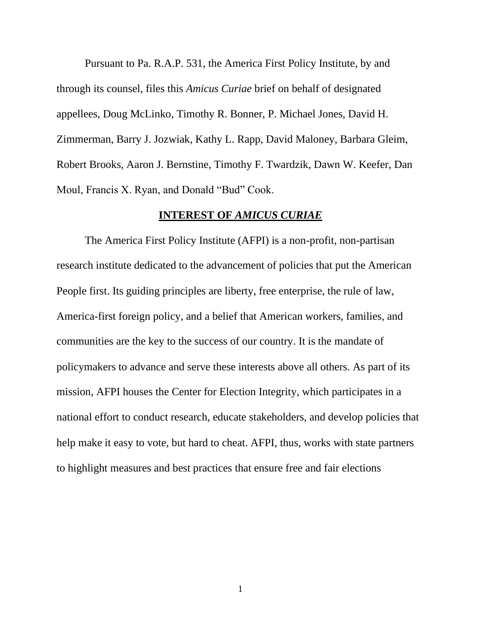Pursuant to Pa. R.A.P. 531, the America First Policy Institute, by and through its counsel, files this *Amicus Curiae* brief on behalf of designated appellees, Doug McLinko, Timothy R. Bonner, P. Michael Jones, David H. Zimmerman, Barry J. Jozwiak, Kathy L. Rapp, David Maloney, Barbara Gleim, Robert Brooks, Aaron J. Bernstine, Timothy F. Twardzik, Dawn W. Keefer, Dan Moul, Francis X. Ryan, and Donald "Bud" Cook.

#### **INTEREST OF** *AMICUS CURIAE*

<span id="page-6-0"></span>The America First Policy Institute (AFPI) is a non-profit, non-partisan research institute dedicated to the advancement of policies that put the American People first. Its guiding principles are liberty, free enterprise, the rule of law, America-first foreign policy, and a belief that American workers, families, and communities are the key to the success of our country. It is the mandate of policymakers to advance and serve these interests above all others. As part of its mission, AFPI houses the Center for Election Integrity, which participates in a national effort to conduct research, educate stakeholders, and develop policies that help make it easy to vote, but hard to cheat. AFPI, thus, works with state partners to highlight measures and best practices that ensure free and fair elections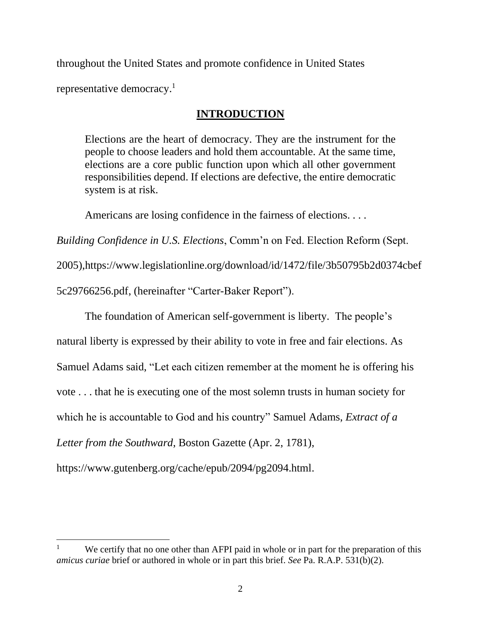throughout the United States and promote confidence in United States

<span id="page-7-0"></span>representative democracy.<sup>1</sup>

## **INTRODUCTION**

Elections are the heart of democracy. They are the instrument for the people to choose leaders and hold them accountable. At the same time, elections are a core public function upon which all other government responsibilities depend. If elections are defective, the entire democratic system is at risk.

Americans are losing confidence in the fairness of elections. . . .

*Building Confidence in U.S. Elections*, Comm'n on Fed. Election Reform (Sept.

2005),https://www.legislationline.org/download/id/1472/file/3b50795b2d0374cbef

5c29766256.pdf, (hereinafter "Carter-Baker Report").

The foundation of American self-government is liberty. The people's

natural liberty is expressed by their ability to vote in free and fair elections. As

Samuel Adams said, "Let each citizen remember at the moment he is offering his

vote . . . that he is executing one of the most solemn trusts in human society for

which he is accountable to God and his country" Samuel Adams, *Extract of a* 

*Letter from the Southward*, Boston Gazette (Apr. 2, 1781),

https://www.gutenberg.org/cache/epub/2094/pg2094.html.

We certify that no one other than AFPI paid in whole or in part for the preparation of this *amicus curiae* brief or authored in whole or in part this brief. *See* Pa. R.A.P. 531(b)(2).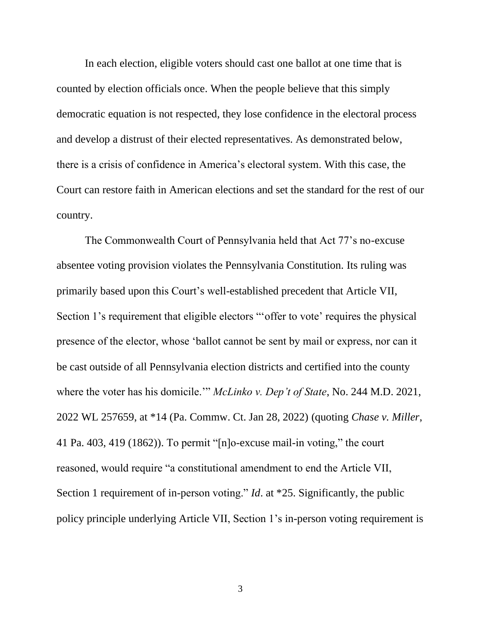In each election, eligible voters should cast one ballot at one time that is counted by election officials once. When the people believe that this simply democratic equation is not respected, they lose confidence in the electoral process and develop a distrust of their elected representatives. As demonstrated below, there is a crisis of confidence in America's electoral system. With this case, the Court can restore faith in American elections and set the standard for the rest of our country.

The Commonwealth Court of Pennsylvania held that Act 77's no-excuse absentee voting provision violates the Pennsylvania Constitution. Its ruling was primarily based upon this Court's well-established precedent that Article VII, Section 1's requirement that eligible electors "'offer to vote' requires the physical presence of the elector, whose 'ballot cannot be sent by mail or express, nor can it be cast outside of all Pennsylvania election districts and certified into the county where the voter has his domicile.'" *McLinko v. Dep't of State*, No. 244 M.D. 2021, 2022 WL 257659, at \*14 (Pa. Commw. Ct. Jan 28, 2022) (quoting *Chase v. Miller*, 41 Pa. 403, 419 (1862)). To permit "[n]o-excuse mail-in voting," the court reasoned, would require "a constitutional amendment to end the Article VII, Section 1 requirement of in-person voting." *Id.* at \*25. Significantly, the public policy principle underlying Article VII, Section 1's in-person voting requirement is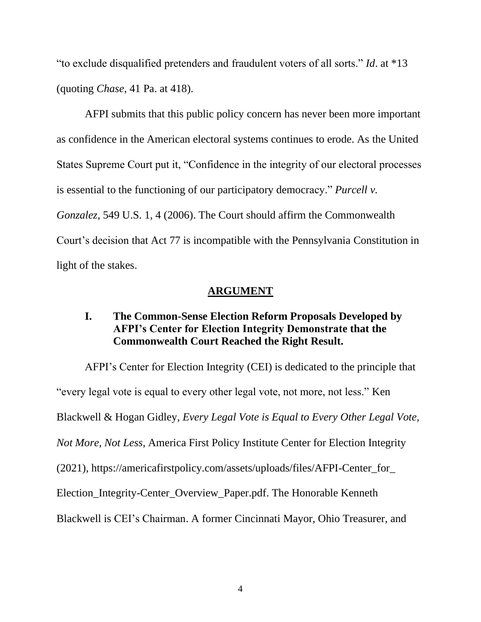"to exclude disqualified pretenders and fraudulent voters of all sorts." *Id*. at \*13 (quoting *Chase*, 41 Pa. at 418).

AFPI submits that this public policy concern has never been more important as confidence in the American electoral systems continues to erode. As the United States Supreme Court put it, "Confidence in the integrity of our electoral processes is essential to the functioning of our participatory democracy." *Purcell v. Gonzalez*, 549 U.S. 1, 4 (2006). The Court should affirm the Commonwealth Court's decision that Act 77 is incompatible with the Pennsylvania Constitution in light of the stakes.

### **ARGUMENT**

## <span id="page-9-1"></span><span id="page-9-0"></span>**I. The Common-Sense Election Reform Proposals Developed by AFPI's Center for Election Integrity Demonstrate that the Commonwealth Court Reached the Right Result.**

AFPI's Center for Election Integrity (CEI) is dedicated to the principle that "every legal vote is equal to every other legal vote, not more, not less." Ken Blackwell & Hogan Gidley, *Every Legal Vote is Equal to Every Other Legal Vote, Not More, Not Less*, America First Policy Institute Center for Election Integrity (2021), https://americafirstpolicy.com/assets/uploads/files/AFPI-Center\_for\_ Election\_Integrity-Center\_Overview\_Paper.pdf. The Honorable Kenneth Blackwell is CEI's Chairman. A former Cincinnati Mayor, Ohio Treasurer, and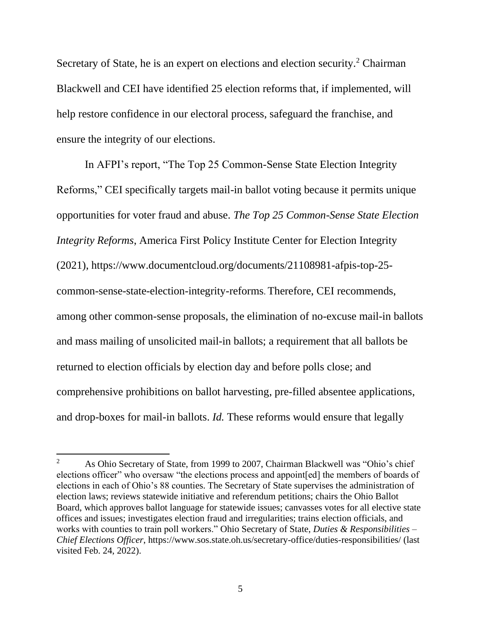Secretary of State, he is an expert on elections and election security.<sup>2</sup> Chairman Blackwell and CEI have identified 25 election reforms that, if implemented, will help restore confidence in our electoral process, safeguard the franchise, and ensure the integrity of our elections.

In AFPI's report, "The Top 25 Common-Sense State Election Integrity Reforms," CEI specifically targets mail-in ballot voting because it permits unique opportunities for voter fraud and abuse. *The Top 25 Common-Sense State Election Integrity Reforms*, America First Policy Institute Center for Election Integrity (2021), https://www.documentcloud.org/documents/21108981-afpis-top-25 common-sense-state-election-integrity-reforms. Therefore, CEI recommends, among other common-sense proposals, the elimination of no-excuse mail-in ballots and mass mailing of unsolicited mail-in ballots; a requirement that all ballots be returned to election officials by election day and before polls close; and comprehensive prohibitions on ballot harvesting, pre-filled absentee applications, and drop-boxes for mail-in ballots. *Id.* These reforms would ensure that legally

<sup>&</sup>lt;sup>2</sup> As Ohio Secretary of State, from 1999 to 2007, Chairman Blackwell was "Ohio's chief elections officer" who oversaw "the elections process and appoint[ed] the members of boards of elections in each of Ohio's 88 counties. The Secretary of State supervises the administration of election laws; reviews statewide initiative and referendum petitions; chairs the Ohio Ballot Board, which approves ballot language for statewide issues; canvasses votes for all elective state offices and issues; investigates election fraud and irregularities; trains election officials, and works with counties to train poll workers." Ohio Secretary of State, *Duties & Responsibilities* – *Chief Elections Officer*, https://www.sos.state.oh.us/secretary-office/duties-responsibilities/ (last visited Feb. 24, 2022).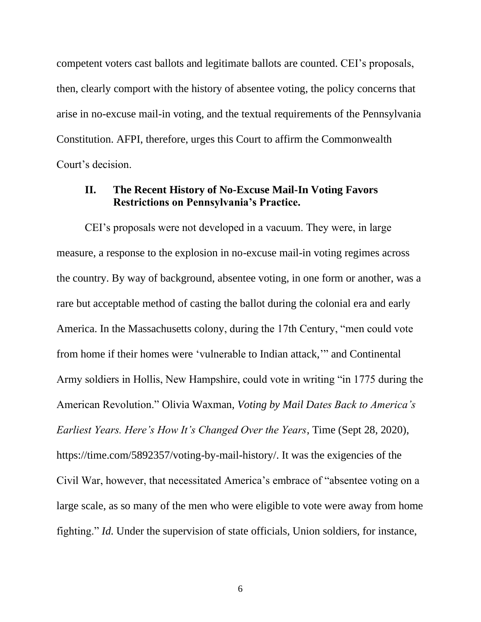competent voters cast ballots and legitimate ballots are counted. CEI's proposals, then, clearly comport with the history of absentee voting, the policy concerns that arise in no-excuse mail-in voting, and the textual requirements of the Pennsylvania Constitution. AFPI, therefore, urges this Court to affirm the Commonwealth Court's decision.

### <span id="page-11-0"></span>**II. The Recent History of No-Excuse Mail-In Voting Favors Restrictions on Pennsylvania's Practice.**

CEI's proposals were not developed in a vacuum. They were, in large measure, a response to the explosion in no-excuse mail-in voting regimes across the country. By way of background, absentee voting, in one form or another, was a rare but acceptable method of casting the ballot during the colonial era and early America. In the Massachusetts colony, during the 17th Century, "men could vote from home if their homes were 'vulnerable to Indian attack,'" and Continental Army soldiers in Hollis, New Hampshire, could vote in writing "in 1775 during the American Revolution." Olivia Waxman, *Voting by Mail Dates Back to America's Earliest Years. Here's How It's Changed Over the Years*, Time (Sept 28, 2020), https://time.com/5892357/voting-by-mail-history/. It was the exigencies of the Civil War, however, that necessitated America's embrace of "absentee voting on a large scale, as so many of the men who were eligible to vote were away from home fighting." *Id.* Under the supervision of state officials, Union soldiers, for instance,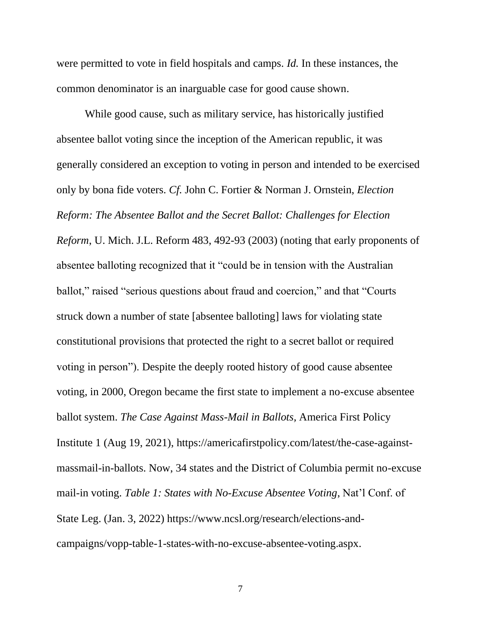were permitted to vote in field hospitals and camps. *Id.* In these instances, the common denominator is an inarguable case for good cause shown.

While good cause, such as military service, has historically justified absentee ballot voting since the inception of the American republic, it was generally considered an exception to voting in person and intended to be exercised only by bona fide voters. *Cf.* John C. Fortier & Norman J. Ornstein, *Election Reform: The Absentee Ballot and the Secret Ballot: Challenges for Election Reform*, U. Mich. J.L. Reform 483, 492-93 (2003) (noting that early proponents of absentee balloting recognized that it "could be in tension with the Australian ballot," raised "serious questions about fraud and coercion," and that "Courts struck down a number of state [absentee balloting] laws for violating state constitutional provisions that protected the right to a secret ballot or required voting in person"). Despite the deeply rooted history of good cause absentee voting, in 2000, Oregon became the first state to implement a no-excuse absentee ballot system. *The Case Against Mass-Mail in Ballots,* America First Policy Institute 1 (Aug 19, 2021), [https://americafirstpolicy.com/latest/the-case-against](https://americafirstpolicy.com/latest/the-case-against-massmail-in-ballots)[massmail-in-ballots.](https://americafirstpolicy.com/latest/the-case-against-massmail-in-ballots) Now, 34 states and the District of Columbia permit no-excuse mail-in voting. *Table 1: States with No-Excuse Absentee Voting*, Nat'l Conf. of State Leg. (Jan. 3, 2022) htt[ps://www.ncsl.org/research/elections-and](https://www.ncsl.org/research/elections-and-campaigns/vopp-table-1-states-with-no-excuse-absentee-voting.aspx)[campaigns/vopp-table-1-states-with-no-excuse-absentee-voting.aspx.](https://www.ncsl.org/research/elections-and-campaigns/vopp-table-1-states-with-no-excuse-absentee-voting.aspx)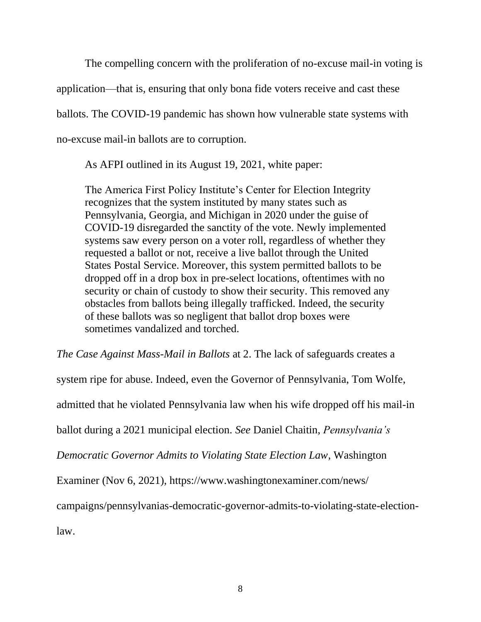The compelling concern with the proliferation of no-excuse mail-in voting is application—that is, ensuring that only bona fide voters receive and cast these ballots. The COVID-19 pandemic has shown how vulnerable state systems with no-excuse mail-in ballots are to corruption.

As AFPI outlined in its August 19, 2021, white paper:

The America First Policy Institute's Center for Election Integrity recognizes that the system instituted by many states such as Pennsylvania, Georgia, and Michigan in 2020 under the guise of COVID-19 disregarded the sanctity of the vote. Newly implemented systems saw every person on a voter roll, regardless of whether they requested a ballot or not, receive a live ballot through the United States Postal Service. Moreover, this system permitted ballots to be dropped off in a drop box in pre-select locations, oftentimes with no security or chain of custody to show their security. This removed any obstacles from ballots being illegally trafficked. Indeed, the security of these ballots was so negligent that ballot drop boxes were sometimes vandalized and torched.

*The Case Against Mass-Mail in Ballots* at 2. The lack of safeguards creates a

system ripe for abuse. Indeed, even the Governor of Pennsylvania, Tom Wolfe,

admitted that he violated Pennsylvania law when his wife dropped off his mail-in

ballot during a 2021 municipal election. *See* Daniel Chaitin, *Pennsylvania's* 

*Democratic Governor Admits to Violating State Election Law*, Washington

Examiner (Nov 6, 2021), https://www.washingtonexaminer.com/news/

campaigns/pennsylvanias-democratic-governor-admits-to-violating-state-election-

law.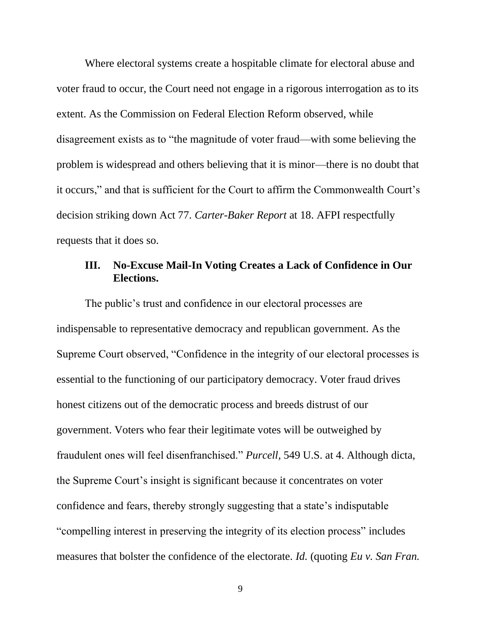Where electoral systems create a hospitable climate for electoral abuse and voter fraud to occur, the Court need not engage in a rigorous interrogation as to its extent. As the Commission on Federal Election Reform observed, while disagreement exists as to "the magnitude of voter fraud—with some believing the problem is widespread and others believing that it is minor—there is no doubt that it occurs," and that is sufficient for the Court to affirm the Commonwealth Court's decision striking down Act 77. *Carter-Baker Report* at 18. AFPI respectfully requests that it does so.

### <span id="page-14-0"></span>**III. No-Excuse Mail-In Voting Creates a Lack of Confidence in Our Elections.**

The public's trust and confidence in our electoral processes are indispensable to representative democracy and republican government. As the Supreme Court observed, "Confidence in the integrity of our electoral processes is essential to the functioning of our participatory democracy. Voter fraud drives honest citizens out of the democratic process and breeds distrust of our government. Voters who fear their legitimate votes will be outweighed by fraudulent ones will feel disenfranchised." *Purcell,* 549 U.S. at 4. Although dicta, the Supreme Court's insight is significant because it concentrates on voter confidence and fears, thereby strongly suggesting that a state's indisputable "compelling interest in preserving the integrity of its election process" includes measures that bolster the confidence of the electorate. *Id.* (quoting *Eu v. San Fran.*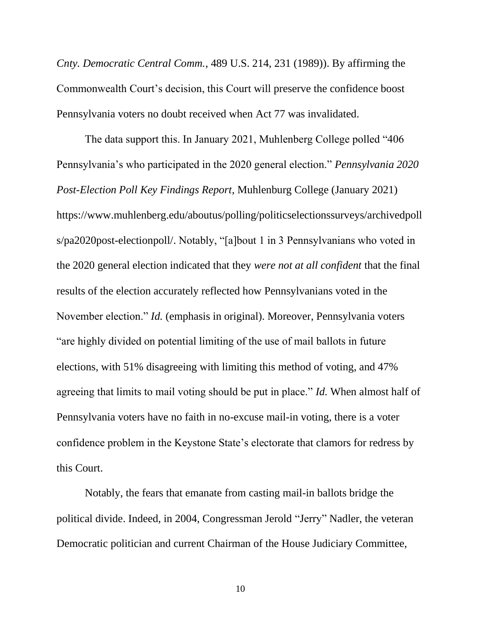*Cnty. Democratic Central Comm.*, 489 U.S. 214, 231 (1989)). By affirming the Commonwealth Court's decision, this Court will preserve the confidence boost Pennsylvania voters no doubt received when Act 77 was invalidated.

The data support this. In January 2021, Muhlenberg College polled "406 Pennsylvania's who participated in the 2020 general election." *Pennsylvania 2020 Post-Election Poll Key Findings Report*, Muhlenburg College (January 2021) https://www.muhlenberg.edu/aboutus/polling/politicselectionssurveys/archivedpoll s/pa2020post-electionpoll/. Notably, "[a]bout 1 in 3 Pennsylvanians who voted in the 2020 general election indicated that they *were not at all confident* that the final results of the election accurately reflected how Pennsylvanians voted in the November election." *Id.* (emphasis in original). Moreover, Pennsylvania voters "are highly divided on potential limiting of the use of mail ballots in future elections, with 51% disagreeing with limiting this method of voting, and 47% agreeing that limits to mail voting should be put in place." *Id.* When almost half of Pennsylvania voters have no faith in no-excuse mail-in voting, there is a voter confidence problem in the Keystone State's electorate that clamors for redress by this Court.

Notably, the fears that emanate from casting mail-in ballots bridge the political divide. Indeed, in 2004, Congressman Jerold "Jerry" Nadler, the veteran Democratic politician and current Chairman of the House Judiciary Committee,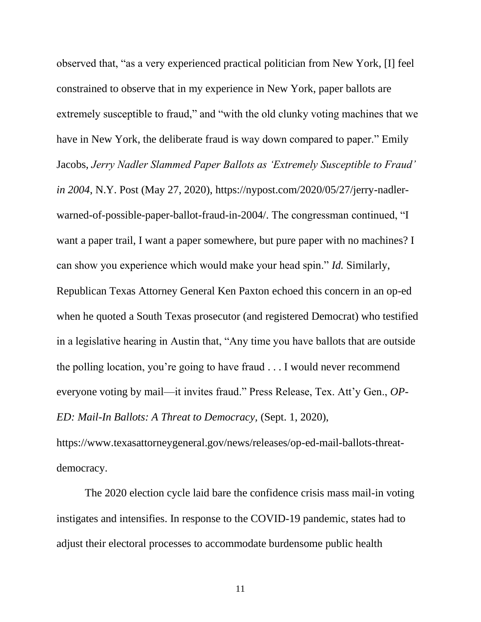observed that, "as a very experienced practical politician from New York, [I] feel constrained to observe that in my experience in New York, paper ballots are extremely susceptible to fraud," and "with the old clunky voting machines that we have in New York, the deliberate fraud is way down compared to paper." Emily Jacobs, *Jerry Nadler Slammed Paper Ballots as 'Extremely Susceptible to Fraud' in 2004*, N.Y. Post (May 27, 2020), [https://nypost.com/2020/05/27/jerry-nadler](https://nypost.com/2020/05/27/jerry-nadler-warned-of-possible-paper-ballot-fraud-in-2004/)[warned-of-possible-paper-ballot-fraud-in-2004/.](https://nypost.com/2020/05/27/jerry-nadler-warned-of-possible-paper-ballot-fraud-in-2004/) The congressman continued, "I want a paper trail, I want a paper somewhere, but pure paper with no machines? I can show you experience which would make your head spin." *Id.* Similarly, Republican Texas Attorney General Ken Paxton echoed this concern in an op-ed when he quoted a South Texas prosecutor (and registered Democrat) who testified in a legislative hearing in Austin that, "Any time you have ballots that are outside the polling location, you're going to have fraud . . . I would never recommend everyone voting by mail—it invites fraud." Press Release, Tex. Att'y Gen., *OP-ED: Mail-In Ballots: A Threat to Democracy,* (Sept. 1, 2020),

https://www.texasattorneygeneral.gov/news/releases/op-ed-mail-ballots-threatdemocracy.

The 2020 election cycle laid bare the confidence crisis mass mail-in voting instigates and intensifies. In response to the COVID-19 pandemic, states had to adjust their electoral processes to accommodate burdensome public health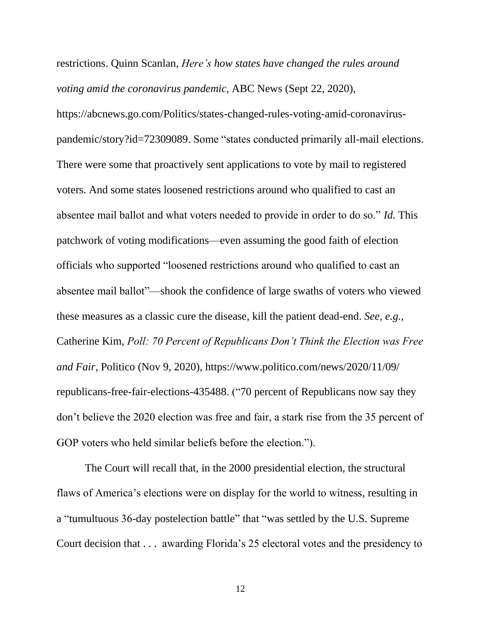restrictions. Quinn Scanlan, *Here's how states have changed the rules around voting amid the coronavirus pandemic,* ABC News (Sept 22, 2020),

https://abcnews.go.com/Politics/states-changed-rules-voting-amid-coronaviruspandemic/story?id=72309089. Some "states conducted primarily all-mail elections. There were some that proactively sent applications to vote by mail to registered voters. And some states loosened restrictions around who qualified to cast an absentee mail ballot and what voters needed to provide in order to do so." *Id.* This patchwork of voting modifications—even assuming the good faith of election officials who supported "loosened restrictions around who qualified to cast an absentee mail ballot"—shook the confidence of large swaths of voters who viewed these measures as a classic cure the disease, kill the patient dead-end. *See, e.g.,* Catherine Kim, *Poll: 70 Percent of Republicans Don't Think the Election was Free and Fair*, Politico (Nov 9, 2020), https://www.politico.com/news/2020/11/09/ republicans-free-fair-elections-435488. ("70 percent of Republicans now say they don't believe the 2020 election was free and fair, a stark rise from the 35 percent of GOP voters who held similar beliefs before the election.").

The Court will recall that, in the 2000 presidential election, the structural flaws of America's elections were on display for the world to witness, resulting in a "tumultuous 36-day postelection battle" that "was settled by the U.S. Supreme Court decision that . . . awarding Florida's 25 electoral votes and the presidency to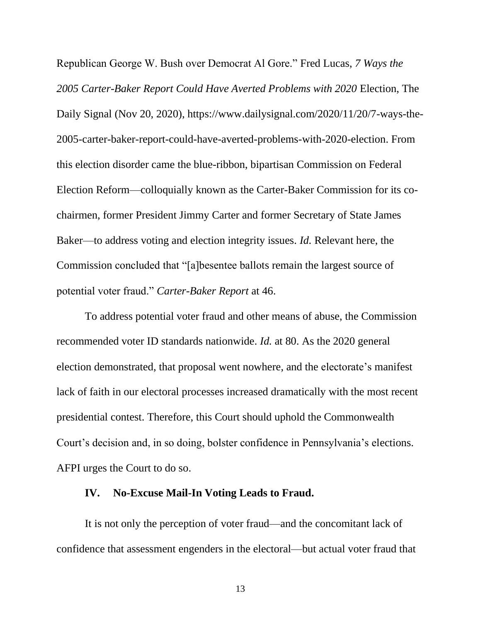Republican George W. Bush over Democrat Al Gore." Fred Lucas, *7 Ways the 2005 Carter-Baker Report Could Have Averted Problems with 2020* Election, The Daily Signal (Nov 20, 2020), https://www.dailysignal.com/2020/11/20/7-ways-the-2005-carter-baker-report-could-have-averted-problems-with-2020-election. From this election disorder came the blue-ribbon, bipartisan Commission on Federal Election Reform—colloquially known as the Carter-Baker Commission for its cochairmen, former President Jimmy Carter and former Secretary of State James Baker—to address voting and election integrity issues. *Id.* Relevant here, the Commission concluded that "[a]besentee ballots remain the largest source of potential voter fraud." *Carter-Baker Report* at 46.

To address potential voter fraud and other means of abuse, the Commission recommended voter ID standards nationwide. *Id.* at 80. As the 2020 general election demonstrated, that proposal went nowhere, and the electorate's manifest lack of faith in our electoral processes increased dramatically with the most recent presidential contest. Therefore, this Court should uphold the Commonwealth Court's decision and, in so doing, bolster confidence in Pennsylvania's elections. AFPI urges the Court to do so.

### <span id="page-18-0"></span>**IV. No-Excuse Mail-In Voting Leads to Fraud.**

It is not only the perception of voter fraud—and the concomitant lack of confidence that assessment engenders in the electoral—but actual voter fraud that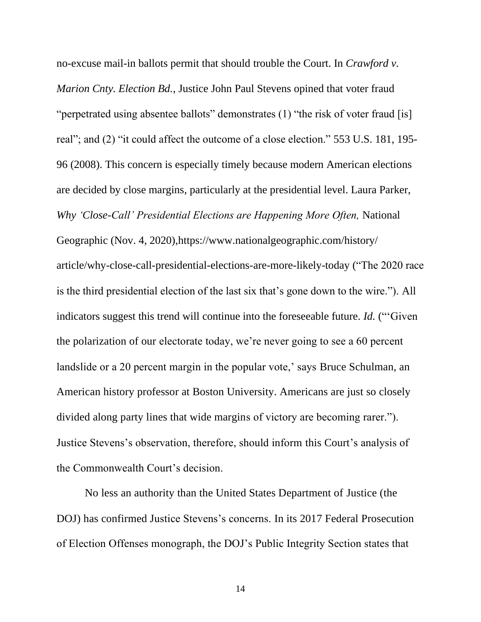no-excuse mail-in ballots permit that should trouble the Court. In *Crawford v. Marion Cnty. Election Bd.*, Justice John Paul Stevens opined that voter fraud "perpetrated using absentee ballots" demonstrates (1) "the risk of voter fraud [is] real"; and (2) "it could affect the outcome of a close election." 553 U.S. 181, 195- 96 (2008). This concern is especially timely because modern American elections are decided by close margins, particularly at the presidential level. Laura Parker, *Why 'Close-Call' Presidential Elections are Happening More Often,* National Geographic (Nov. 4, 2020),https://www.nationalgeographic.com/history/ article/why-close-call-presidential-elections-are-more-likely-today ("The 2020 race is the third presidential election of the last six that's gone down to the wire."). All indicators suggest this trend will continue into the foreseeable future. *Id.* ("'Given the polarization of our electorate today, we're never going to see a 60 percent landslide or a 20 percent margin in the popular vote,' says Bruce Schulman, an American history professor at Boston University. Americans are just so closely divided along party lines that wide margins of victory are becoming rarer."). Justice Stevens's observation, therefore, should inform this Court's analysis of the Commonwealth Court's decision.

No less an authority than the United States Department of Justice (the DOJ) has confirmed Justice Stevens's concerns. In its 2017 Federal Prosecution of Election Offenses monograph, the DOJ's Public Integrity Section states that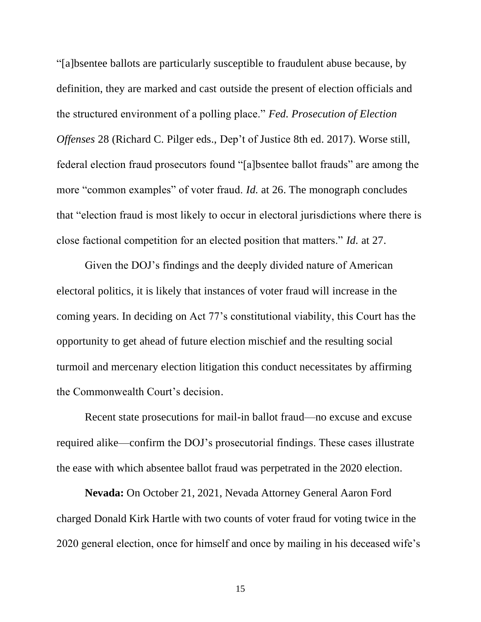"[a]bsentee ballots are particularly susceptible to fraudulent abuse because, by definition, they are marked and cast outside the present of election officials and the structured environment of a polling place." *Fed. Prosecution of Election Offenses* 28 (Richard C. Pilger eds., Dep't of Justice 8th ed. 2017). Worse still, federal election fraud prosecutors found "[a]bsentee ballot frauds" are among the more "common examples" of voter fraud. *Id.* at 26. The monograph concludes that "election fraud is most likely to occur in electoral jurisdictions where there is close factional competition for an elected position that matters." *Id.* at 27.

Given the DOJ's findings and the deeply divided nature of American electoral politics, it is likely that instances of voter fraud will increase in the coming years. In deciding on Act 77's constitutional viability, this Court has the opportunity to get ahead of future election mischief and the resulting social turmoil and mercenary election litigation this conduct necessitates by affirming the Commonwealth Court's decision.

Recent state prosecutions for mail-in ballot fraud—no excuse and excuse required alike—confirm the DOJ's prosecutorial findings. These cases illustrate the ease with which absentee ballot fraud was perpetrated in the 2020 election.

**Nevada:** On October 21, 2021, Nevada Attorney General Aaron Ford charged Donald Kirk Hartle with two counts of voter fraud for voting twice in the 2020 general election, once for himself and once by mailing in his deceased wife's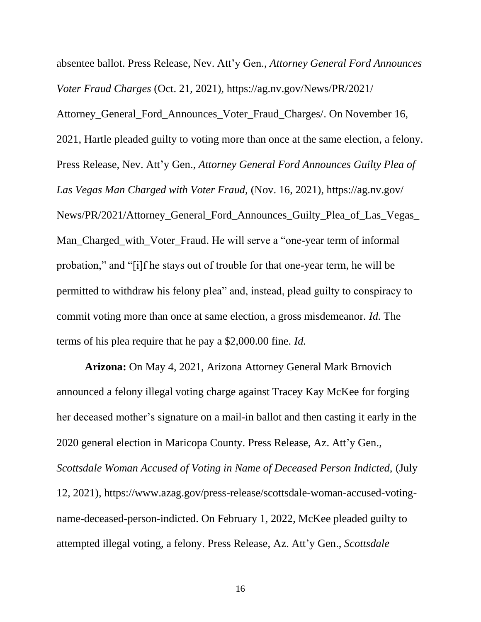absentee ballot. Press Release, Nev. Att'y Gen., *Attorney General Ford Announces Voter Fraud Charges* (Oct. 21, 2021), https://ag.nv.gov/News/PR/2021/ Attorney\_General\_Ford\_Announces\_Voter\_Fraud\_Charges/. On November 16,

2021, Hartle pleaded guilty to voting more than once at the same election, a felony. Press Release, Nev. Att'y Gen., *Attorney General Ford Announces Guilty Plea of Las Vegas Man Charged with Voter Fraud,* (Nov. 16, 2021), https://ag.nv.gov/ News/PR/2021/Attorney\_General\_Ford\_Announces\_Guilty\_Plea\_of\_Las\_Vegas\_ Man\_Charged\_with\_Voter\_Fraud. He will serve a "one-year term of informal probation," and "[i]f he stays out of trouble for that one-year term, he will be permitted to withdraw his felony plea" and, instead, plead guilty to conspiracy to commit voting more than once at same election, a gross misdemeanor. *Id.* The terms of his plea require that he pay a \$2,000.00 fine. *Id.*

**Arizona:** On May 4, 2021, Arizona Attorney General Mark Brnovich announced a felony illegal voting charge against Tracey Kay McKee for forging her deceased mother's signature on a mail-in ballot and then casting it early in the 2020 general election in Maricopa County. Press Release, Az. Att'y Gen., *Scottsdale Woman Accused of Voting in Name of Deceased Person Indicted,* (July 12, 2021), https://www.azag.gov/press-release/scottsdale-woman-accused-votingname-deceased-person-indicted. On February 1, 2022, McKee pleaded guilty to attempted illegal voting, a felony. Press Release, Az. Att'y Gen., *Scottsdale*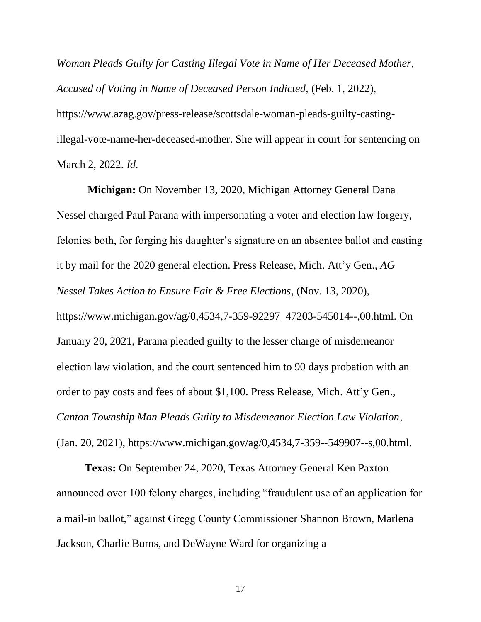*Woman Pleads Guilty for Casting Illegal Vote in Name of Her Deceased Mother, Accused of Voting in Name of Deceased Person Indicted,* (Feb. 1, 2022), https://www.azag.gov/press-release/scottsdale-woman-pleads-guilty-castingillegal-vote-name-her-deceased-mother. She will appear in court for sentencing on March 2, 2022. *Id.*

**Michigan:** On November 13, 2020, Michigan Attorney General Dana Nessel charged Paul Parana with impersonating a voter and election law forgery, felonies both, for forging his daughter's signature on an absentee ballot and casting it by mail for the 2020 general election. Press Release, Mich. Att'y Gen., *AG Nessel Takes Action to Ensure Fair & Free Elections*, (Nov. 13, 2020), https://www.michigan.gov/ag/0,4534,7-359-92297\_47203-545014--,00.html. On January 20, 2021, Parana pleaded guilty to the lesser charge of misdemeanor election law violation, and the court sentenced him to 90 days probation with an order to pay costs and fees of about \$1,100. Press Release, Mich. Att'y Gen., *Canton Township Man Pleads Guilty to Misdemeanor Election Law Violation*, (Jan. 20, 2021), https://www.michigan.gov/ag/0,4534,7-359--549907--s,00.html.

**Texas:** On September 24, 2020, Texas Attorney General Ken Paxton announced over 100 felony charges, including "fraudulent use of an application for a mail-in ballot," against Gregg County Commissioner Shannon Brown, Marlena Jackson, Charlie Burns, and DeWayne Ward for organizing a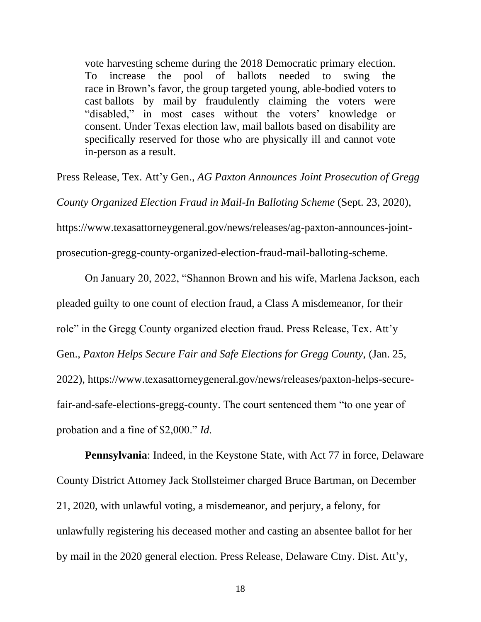vote harvesting scheme during the 2018 Democratic primary election. To increase the pool of ballots needed to swing the race in Brown's favor, the group targeted young, able-bodied voters to cast ballots by mail by fraudulently claiming the voters were "disabled," in most cases without the voters' knowledge or consent. Under Texas election law, mail ballots based on disability are specifically reserved for those who are physically ill and cannot vote in-person as a result.

Press Release, Tex. Att'y Gen., *AG Paxton Announces Joint Prosecution of Gregg County Organized Election Fraud in Mail-In Balloting Scheme* (Sept. 23, 2020), https://www.texasattorneygeneral.gov/news/releases/ag-paxton-announces-jointprosecution-gregg-county-organized-election-fraud-mail-balloting-scheme.

On January 20, 2022, "Shannon Brown and his wife, Marlena Jackson, each pleaded guilty to one count of election fraud, a Class A misdemeanor, for their role" in the Gregg County organized election fraud. Press Release, Tex. Att'y Gen., *Paxton Helps Secure Fair and Safe Elections for Gregg County,* (Jan. 25, 2022), https://www.texasattorneygeneral.gov/news/releases/paxton-helps-securefair-and-safe-elections-gregg-county. The court sentenced them "to one year of probation and a fine of \$2,000." *Id.*

**Pennsylvania**: Indeed, in the Keystone State, with Act 77 in force, Delaware County District Attorney Jack Stollsteimer charged Bruce Bartman, on December 21, 2020, with unlawful voting, a misdemeanor, and perjury, a felony, for unlawfully registering his deceased mother and casting an absentee ballot for her by mail in the 2020 general election. Press Release, Delaware Ctny. Dist. Att'y*,*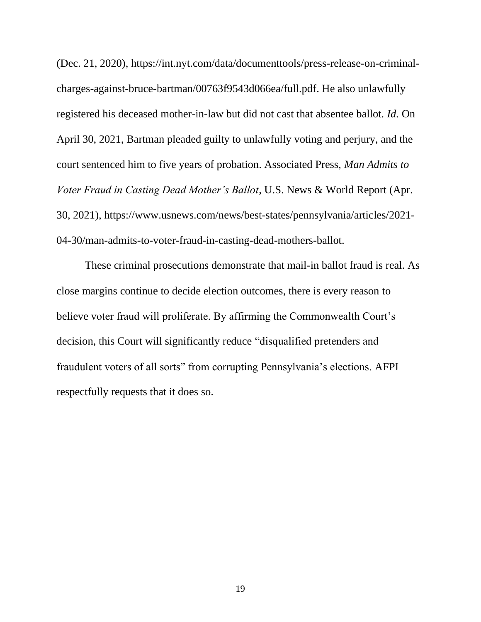(Dec. 21, 2020), https://int.nyt.com/data/documenttools/press-release-on-criminalcharges-against-bruce-bartman/00763f9543d066ea/full.pdf. He also unlawfully registered his deceased mother-in-law but did not cast that absentee ballot. *Id.* On April 30, 2021, Bartman pleaded guilty to unlawfully voting and perjury, and the court sentenced him to five years of probation. Associated Press, *Man Admits to Voter Fraud in Casting Dead Mother's Ballot*, U.S. News & World Report (Apr. 30, 2021), https://www.usnews.com/news/best-states/pennsylvania/articles/2021- 04-30/man-admits-to-voter-fraud-in-casting-dead-mothers-ballot.

These criminal prosecutions demonstrate that mail-in ballot fraud is real. As close margins continue to decide election outcomes, there is every reason to believe voter fraud will proliferate. By affirming the Commonwealth Court's decision, this Court will significantly reduce "disqualified pretenders and fraudulent voters of all sorts" from corrupting Pennsylvania's elections. AFPI respectfully requests that it does so.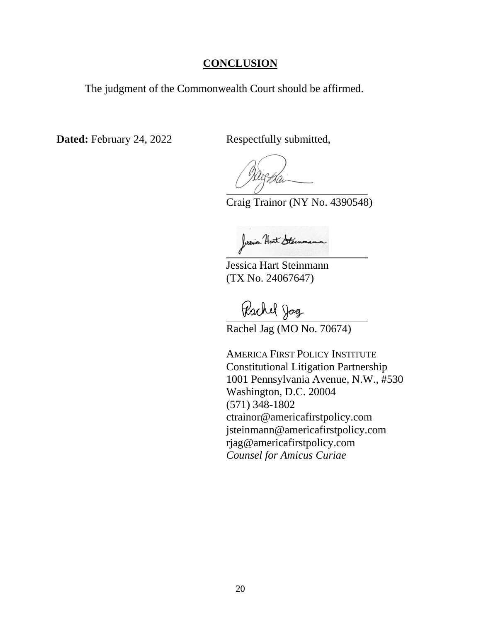#### **CONCLUSION**

<span id="page-25-0"></span>The judgment of the Commonwealth Court should be affirmed.

**Dated:** February 24, 2022 Respectfully submitted,

Craig Trainor (NY No. 4390548)

Jessien Hart Steinman

Jessica Hart Steinmann (TX No. 24067647)

Pachel Jog

Rachel Jag (MO No. 70674)

AMERICA FIRST POLICY INSTITUTE Constitutional Litigation Partnership 1001 Pennsylvania Avenue, N.W., #530 Washington, D.C. 20004 (571) 348-1802 ctrainor@americafirstpolicy.com jsteinmann@americafirstpolicy.com rjag@americafirstpolicy.com *Counsel for Amicus Curiae*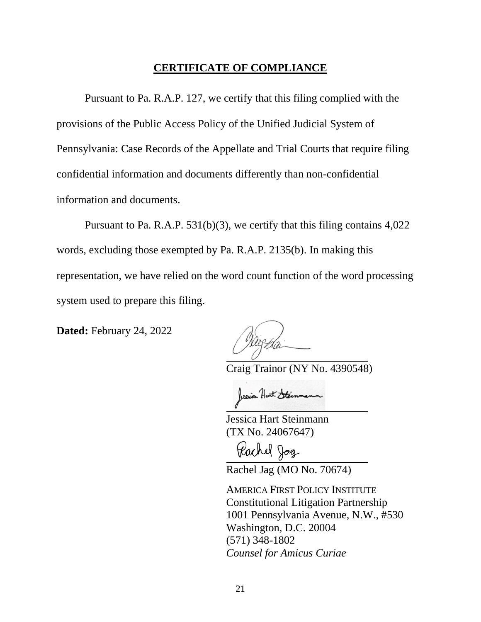#### **CERTIFICATE OF COMPLIANCE**

Pursuant to Pa. R.A.P. 127, we certify that this filing complied with the provisions of the Public Access Policy of the Unified Judicial System of Pennsylvania: Case Records of the Appellate and Trial Courts that require filing confidential information and documents differently than non-confidential information and documents.

Pursuant to Pa. R.A.P. 531(b)(3), we certify that this filing contains 4,022 words, excluding those exempted by Pa. R.A.P. 2135(b). In making this representation, we have relied on the word count function of the word processing system used to prepare this filing.

**Dated:** February 24, 2022

Craig Trainor (NY No. 4390548)

Jessien Hart Steinmann

Jessica Hart Steinmann (TX No. 24067647)

Pachel Jog

Rachel Jag (MO No. 70674)

AMERICA FIRST POLICY INSTITUTE Constitutional Litigation Partnership 1001 Pennsylvania Avenue, N.W., #530 Washington, D.C. 20004 (571) 348-1802 *Counsel for Amicus Curiae*